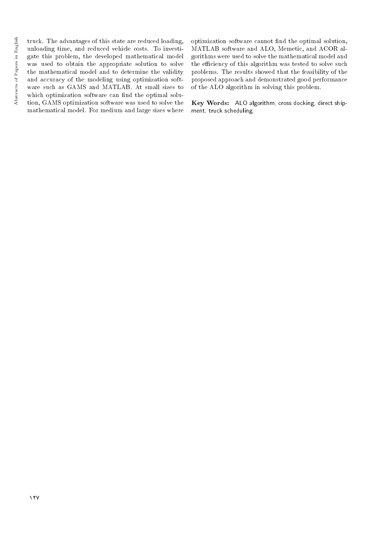truck. The advantages of this state are reduced loading, unloading time, and reduced vehicle costs. To investigate this problem, the developed mathematical model was used to obtain the appropriate solution to solve the mathematical model and to determine the validity and accuracy of the modeling using optimization software such as GAMS and MATLAB. At small sizes to which optimization software can find the optimal solution, GAMS optimization software was used to solve the mathematical model. For medium and large sizes where optimization software cannot find the optimal solution, MATLAB software and ALO, Memetic, and ACOR algorithms were used to solve the mathematical model and the efficiency of this algorithm was tested to solve such problems. The results showed that the feasibility of the proposed approach and demonstrated good performance of the ALO algorithm in solving this problem.

Key Words: ALO algorithm, cross docking, direct shipment, truck scheduling.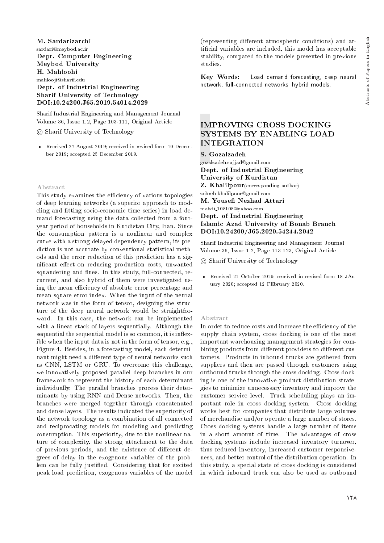M. Sardarizarchi sardari@meybod.ac.ir Dept. Computer Engineering Meybod University H. Mahloohi mahlooji@sharif.edu Dept. of Industrial Engineering Sharif University of Technology DOI:10.24200.J65.2019.54014.2029

Sharif Industrial Engineering and Management Journal Volume 36, Issue 1.2, Page 103-111, Original Article

c Sharif University of Technology

 Received 27 August 2019; received in revised form 10 December 2019; accepted 25 December 2019.

#### Abstract

This study examines the efficiency of various topologies of deep learning networks (a superior approach to modeling and fitting socio-economic time series) in load demand forecasting using the data collected from a fouryear period of households in Kurdistan City, Iran. Since the consumption pattern is a nonlinear and complex curve with a strong delayed dependency pattern, its prediction is not accurate by conventional statistical methods and the error reduction of this prediction has a significant effect on reducing production costs, unwanted squandering and fines. In this study, full-connected, recurrent, and also hybrid of them were investigated using the mean efficiency of absolute error percentage and mean square error index. When the input of the neural network was in the form of tensor, designing the structure of the deep neural network would be straightforward. In this case, the network can be implemented with a linear stack of layers sequentially. Although the sequential the sequential model is so common, it is inflexible when the input data is not in the form of tensor, e.g., Figure 4. Besides, in a forecasting model, each determinant might need a different type of neural networks such as CNN, LSTM or GRU. To overcome this challenge, we innovatively proposed parallel deep branches in our framework to represent the history of each determinant individually. The parallel branches process their determinants by using RNN and Dense networks. Then, the branches were merged together through concatenated and dense layers. The results indicated the superiority of the network topology as a combination of all connected and reciprocating models for modeling and predicting consumption. This superiority, due to the nonlinear nature of complexity, the strong attachment to the data of previous periods, and the existence of different degrees of delay in the exogenous variables of the problem can be fully justied. Considering that for excited peak load prediction, exogenous variables of the model

(representing different atmospheric conditions) and articial variables are included, this model has acceptable stability, compared to the models presented in previous studies.

Key Words: Load demand forecasting, deep neural network, full-connected networks, hybrid models.

# IMPROVING CROSS DOCKING SYSTEMS BY ENABLING LOAD INTEGRATION

S. Gozalzadeh gozalzadeh.sajjad@gmail.com Dept. of Industrial Engineering University of Kurdistan **Z. Khalilpour**(corresponding author) zohreh.khalilpour@gmail.com M. Youse Nezhad Attari mahdi 108108@yahoo.com Dept. of Industrial Engineering Islamic Azad University of Bonab Branch DOI:10.24200/J65.2020.54244.2042

Sharif Industrial Engineering and Management Journal Volume 36, Issue 1.2, Page 113-123, Original Article

c Sharif University of Technology

 Received 21 October 2019; received in revised form 18 JAnuary 2020; accepted 12 FEbruary 2020.

#### Abstract

In order to reduce costs and increase the efficiency of the supply chain system, cross docking is one of the most important warehousing management strategies for combining products from different providers to different customers. Products in inbound trucks are gathered from suppliers and then are passed through customers using outbound trucks through the cross docking. Cross docking is one of the innovative product distribution strategies to minimize unnecessary inventory and improve the customer service level. Truck scheduling plays an important role in cross docking system. Cross docking works best for companies that distribute large volumes of merchandise and/or operate a large number of stores. Cross docking systems handle a large number of items in a short amount of time. The advantages of cross docking systems include increased inventory turnover, thus reduced inventory, increased customer responsiveness, and better control of the distribution operation. In this study, a special state of cross docking is considered in which inbound truck can also be used as outbound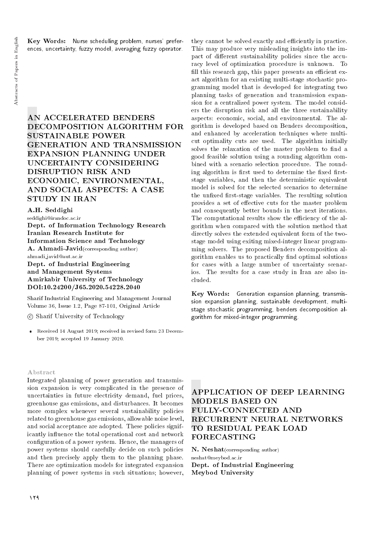Key Words: Nurse scheduling problem, nurses' preferences, uncertainty, fuzzy model, averaging fuzzy operator.

AN ACCELERATED BENDERS DECOMPOSITION ALGORITHM FOR SUSTAINABLE POWER GENERATION AND TRANSMISSION EXPANSION PLANNING UNDER UNCERTAINTY CONSIDERING DISRUPTION RISK AND ECONOMIC, ENVIRONMENTAL, AND SOCIAL ASPECTS: A CASE STUDY IN IRAN

## A.H. Seddighi

seddighi@irandoc.ac.ir

Dept. of Information Technology Research Iranian Research Institute for Information Science and Technology A. Ahmadi-Javid(corresponding author) ahmadi javid@aut.ac.ir Dept. of Industrial Engineering and Management Systems Amirkabir University of Technology DOI:10.24200/J65.2020.54228.2040

Sharif Industrial Engineering and Management Journal Volume 36, Issue 1.2, Page 87-101, Original Article

c Sharif University of Technology

 Received 14 August 2019; received in revised form 23 December 2019; accepted 19 January 2020.

#### Abstract

Integrated planning of power generation and transmission expansion is very complicated in the presence of uncertainties in future electricity demand, fuel prices, greenhouse gas emissions, and disturbances. It becomes more complex whenever several sustainability policies related to greenhouse gas emissions, allowable noise level, and social acceptance are adopted. These policies significantly influence the total operational cost and network configuration of a power system. Hence, the managers of power systems should carefully decide on such policies and then precisely apply them to the planning phase. There are optimization models for integrated expansion planning of power systems in such situations; however,

they cannot be solved exactly and efficiently in practice. This may produce very misleading insights into the impact of different sustainability policies since the accuracy level of optimization procedure is unknown. To fill this research gap, this paper presents an efficient exact algorithm for an existing multi-stage stochastic programming model that is developed for integrating two planning tasks of generation and transmission expansion for a centralized power system. The model considers the disruption risk and all the three sustainability aspects: economic, social, and environmental. The algorithm is developed based on Benders decomposition, and enhanced by acceleration techniques where multicut optimality cuts are used. The algorithm initially solves the relaxation of the master problem to find a good feasible solution using a rounding algorithm combined with a scenario selection procedure. The rounding algorithm is first used to determine the fixed firststage variables, and then the deterministic equivalent model is solved for the selected scenarios to determine the unfixed first-stage variables. The resulting solution provides a set of effective cuts for the master problem and consequently better bounds in the next iterations. The computational results show the efficiency of the algorithm when compared with the solution method that directly solves the extended equivalent form of the twostage model using exiting mixed-integer linear programming solvers. The proposed Benders decomposition algorithm enables us to practically find optimal solutions for cases with a large number of uncertainty scenarios. The results for a case study in Iran are also included.

Key Words: Generation expansion planning, transmission expansion planning, sustainable development, multistage stochastic programming, benders decomposition algorithm for mixed-integer programming.

# APPLICATION OF DEEP LEARNING MODELS BASED ON FULLY-CONNECTED AND RECURRENT NEURAL NETWORKS TO RESIDUAL PEAK LOAD FORECASTING

N. Neshat(corresponding author) neshat@meybod.ac.ir Dept. of Industrial Engineering Meybod University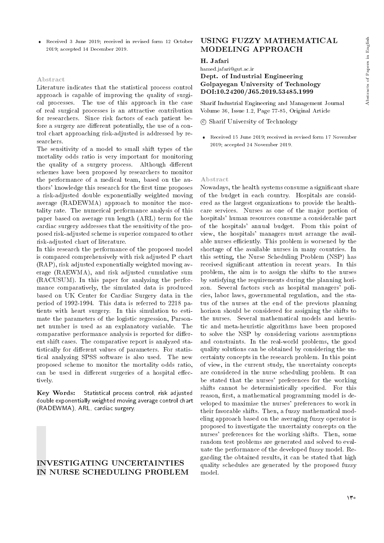Received 3 June 2019; received in revised form 12 October 2019; accepted 14 December 2019.

### Abstract

Literature indicates that the statistical process control approach is capable of improving the quality of surgical processes. The use of this approach in the case of real surgical processes is an attractive contribution for researchers. Since risk factors of each patient before a surgery are different potentially, the use of a control chart approaching risk-adjusted is addressed by researchers.

The sensitivity of a model to small shift types of the mortality odds ratio is very important for monitoring the quality of a surgery process. Although different schemes have been proposed by researchers to monitor the performance of a medical team, based on the authors' knowledge this research for the first time proposes a risk-adjusted double exponentially weighted moving average (RADEWMA) approach to monitor the mortality rate. The numerical performance analysis of this paper based on average run length (ARL) term for the cardiac surgery addresses that the sensitivity of the proposed risk-adjusted scheme is superior compared to other risk-adjusted chart of literature.

In this research the performance of the proposed model is compared comprehensively with risk adjusted P chart (RAP), risk adjusted exponentially weighted moving average (RAEWMA), and risk adjusted cumulative sum (RACUSUM). In this paper for analyzing the performance comparatively, the simulated data is produced based on UK Center for Cardiac Surgery data in the period of 1992-1994. This data is referred to 2218 patients with heart surgery. In this simulation to estimate the parameters of the logistic regression, Parsonnet number is used as an explanatory variable. The comparative performance analysis is reported for different shift cases. The comparative report is analyzed statistically for different values of parameters. For statistical analyzing SPSS software is also used. The new proposed scheme to monitor the mortality odds ratio, can be used in different surgeries of a hospital effectively.

Key Words: Statistical process control, risk adjusted double exponentially weighted moving average control chart (RADEWMA), ARL, cardiac surgery.

## INVESTIGATING UNCERTAINTIES IN NURSE SCHEDULING PROBLEM

# USING FUZZY MATHEMATICAL MODELING APPROACH

#### H. Jafari

hamed.jafari@gut.ac.ir

## Dept. of Industrial Engineering Golpayegan University of Technology DOI:10.24200/J65.2019.53485.1999

Sharif Industrial Engineering and Management Journal Volume 36, Issue 1.2, Page 77-85, Original Article

c Sharif University of Technology

 Received 15 June 2019; received in revised form 17 November 2019; accepted 24 November 2019.

#### Abstract

Nowadays, the health systems consume a signicant share of the budget in each country. Hospitals are considered as the largest organizations to provide the healthcare services. Nurses as one of the major portion of hospitals' human resources consume a considerable part of the hospitals' annual budget. From this point of view, the hospitals' managers must arrange the available nurses efficiently. This problem is worsened by the shortage of the available nurses in many countries. In this setting, the Nurse Scheduling Problem (NSP) has received signicant attention in recent years. In this problem, the aim is to assign the shifts to the nurses by satisfying the requirements during the planning horizon. Several factors such as hospital managers' policies, labor laws, governmental regulation, and the status of the nurses at the end of the previous planning horizon should be considered for assigning the shifts to the nurses. Several mathematical models and heuristic and meta-heuristic algorithms have been proposed to solve the NSP by considering various assumptions and constraints. In the real-world problems, the good quality solutions can be obtained by considering the uncertainty concepts in the research problem. In this point of view, in the current study, the uncertainty concepts are considered in the nurse scheduling problem. It can be stated that the nurses' preferences for the working shifts cannot be deterministically specified. For this reason, first, a mathematical programming model is developed to maximize the nurses' preferences to work in their favorable shifts. Then, a fuzzy mathematical modeling approach based on the averaging fuzzy operator is proposed to investigate the uncertainty concepts on the nurses' preferences for the working shifts. Then, some random test problems are generated and solved to evaluate the performance of the developed fuzzy model. Regarding the obtained results, it can be stated that high quality schedules are generated by the proposed fuzzy model.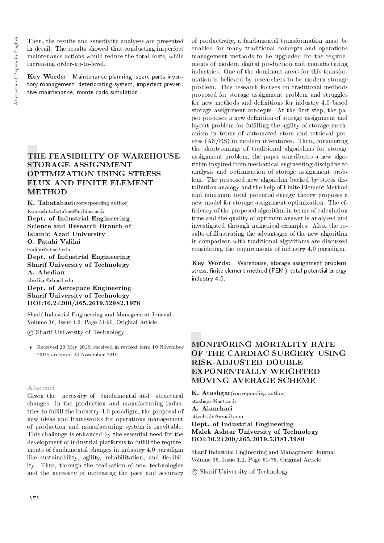Then, the results and sensitivity analyses are presented in detail. The results showed that conducting imperfect maintenance actions would reduce the total costs, while increasing order-up-to-level.

Key Words: Maintenance planning, spare parts inventory management, deteriorating system, imperfect preventive maintenance, monte carlo simulation.

# THE FEASIBILITY OF WAREHOUSE STORAGE ASSIGNMENT OPTIMIZATION USING STRESS FLUX AND FINITE ELEMENT **METHOD**

 $\mathbf K.$  Tabatabaei (corresponding author) Kourosh.tabatabaei@srbiau.ac.ir Dept. of Industrial Engineering Science and Research Branch of Islamic Azad University O. Fatahi Valilai fvalilai@sharif.edu Dept. of Industrial Engineering Sharif University of Technology A. Abedian abedian@sharif.edu Dept. of Aerospace Engineering Sharif University of Technology DOI:10.24200/J65.2019.52982.1976

Sharif Industrial Engineering and Management Journal Volume 36, Issue 1.2, Page 51-60, Original Article

c Sharif University of Technology

 Received 20 May 2019; received in revised form 10 November 2019; accepted 24 November 2019.

#### Abstract

Given the necessity of fundamental and structural changes in the production and manufacturing industries to fulll the industry 4.0 paradigm, the proposal of new ideas and frameworks for operations management of production and manufacturing system is inevitable. This challenge is enhanced by the essential need for the development of industrial platforms to fulfill the requirements of fundamental changes in industry 4.0 paradigm like sustainability, agility, rehabilitation, and flexibility. Thus, through the realization of new technologies and the necessity of increasing the pace and accuracy of productivity, a fundamental transformation must be enabled for many traditional concepts and operations management methods to be upgraded for the requirements of modern digital production and manufacturing industries. One of the dominant areas for this transformation is believed by researchers to be modern storage problem. This research focuses on traditional methods proposed for storage assignment problem and struggles for new methods and definitions for industry 4.0 based storage assignment concepts. At the first step, the paper proposes a new definition of storage assignment and layout problem for fulfilling the agility of storage mechanism in terms of automated store and retrieval process (AS/RS) in modern inventories. Then, considering the shortcomings of traditional algorithms for storage assignment problem, the paper contributes a new algorithm inspired from mechanical engineering discipline to analysis and optimization of storage assignment problem. The proposed new algorithm backed by stress distribution analogy and the help of Finite Element Method and minimum total potential energy theory proposes a new model for storage assignment optimization. The ef ficiency of the proposed algorithm in terms of calculation time and the quality of optimum answer is analyzed and investigated through numerical examples. Also, the results of illustrating the advantages of the new algorithm in comparison with traditional algorithms are discussed considering the requirements of industry 4.0 paradigm.

Key Words: Warehouse, storage assignment problem, stress, finite element method (FEM), total potential energy, industry 4.0.

# MONITORING MORTALITY RATE OF THE CARDIAC SURGERY USING RISK-ADJUSTED DOUBLE EXPONENTIALLY WEIGHTED MOVING AVERAGE SCHEME

K. Atashgar(corresponding author) atashgar@iust.ac.ir A. Alanchari atiyeh.aln@gmail.com Dept. of Industrial Engineering Malek Ashtar University of Technology DOI:10.24200/J65.2019.53181.1980

Sharif Industrial Engineering and Management Journal Volume 36, Issue 1.2, Page 61-75, Original Article

c Sharif University of Technology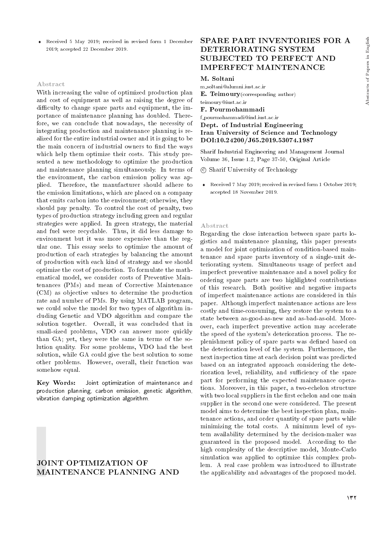Received 5 May 2019; received in revised form 1 December 2019; accepted 22 December 2019.

#### Abstract

With increasing the value of optimized production plan and cost of equipment as well as raising the degree of difficulty to change spare parts and equipment, the importance of maintenance planning has doubled. Therefore, we can conclude that nowadays, the necessity of integrating production and maintenance planning is realized for the entire industrial owner and it is going to be the main concern of industrial owners to find the ways which help them optimize their costs. This study presented a new methodology to optimize the production and maintenance planning simultaneously. In terms of the environment, the carbon emission policy was applied. Therefore, the manufacturer should adhere to the emission limitations, which are placed on a company that emits carbon into the environment; otherwise, they should pay penalty. To control the cost of penalty, two types of production strategy including green and regular strategies were applied. In green strategy, the material and fuel were recyclable. Thus, it did less damage to environment but it was more expensive than the regular one. This essay seeks to optimize the amount of production of each strategies by balancing the amount of production with each kind of strategy and we should optimize the cost of production. To formulate the mathematical model, we consider costs of Preventive Maintenances (PMs) and mean of Corrective Maintenance (CM) as objective values to determine the production rate and number of PMs. By using MATLAB program, we could solve the model for two types of algorithm including Genetic and VDO algorithm and compare the solution together. Overall, it was concluded that in small-sized problems, VDO can answer more quickly than GA; yet, they were the same in terms of the solution quality. For some problems, VDO had the best solution, while GA could give the best solution to some other problems. However, overall, their function was somehow equal.

Key Words: Joint optimization of maintenance and production planning, carbon emission, genetic algorithm, vibration damping optimization algorithm.

## JOINT OPTIMIZATION OF MAINTENANCE PLANNING AND

## SPARE PART INVENTORIES FOR A DETERIORATING SYSTEM SUBJECTED TO PERFECT AND IMPERFECT MAINTENANCE

## M. Soltani

m soltani@alumni.iust.ac.ir E. Teimoury(corresponding author) teimoury@iust.ac.ir F. Pourmohammadi f pourmohammadi@ind.iust.ac.ir Dept. of Industrial Engineering

## Iran University of Science and Technology DOI:10.24200/J65.2019.53074.1987

Sharif Industrial Engineering and Management Journal Volume 36, Issue 1.2, Page 37-50, Original Article

c Sharif University of Technology

 Received 7 May 2019; received in revised form 1 October 2019; accepted 18 November 2019.

#### Abstract

Regarding the close interaction between spare parts logistics and maintenance planning, this paper presents a model for joint optimization of condition-based maintenance and spare parts inventory of a single-unit deteriorating system. Simultaneous usage of perfect and imperfect preventive maintenance and a novel policy for ordering spare parts are two highlighted contributions of this research. Both positive and negative impacts of imperfect maintenance actions are considered in this paper. Although imperfect maintenance actions are less costly and time-consuming, they restore the system to a state between as-good-as-new and as-bad-as-old. Moreover, each imperfect preventive action may accelerate the speed of the system's deterioration process. The replenishment policy of spare parts was defined based on the deterioration level of the system. Furthermore, the next inspection time at each decision point was predicted based on an integrated approach considering the deterioration level, reliability, and sufficiency of the spare part for performing the expected maintenance operations. Moreover, in this paper, a two-echelon structure with two local suppliers in the first echelon and one main supplier in the second one were considered. The present model aims to determine the best inspection plan, maintenance actions, and order quantity of spare parts while minimizing the total costs. A minimum level of system availability determined by the decision-maker was guaranteed in the proposed model. According to the high complexity of the descriptive model, Monte-Carlo simulation was applied to optimize this complex problem. A real case problem was introduced to illustrate the applicability and advantages of the proposed model.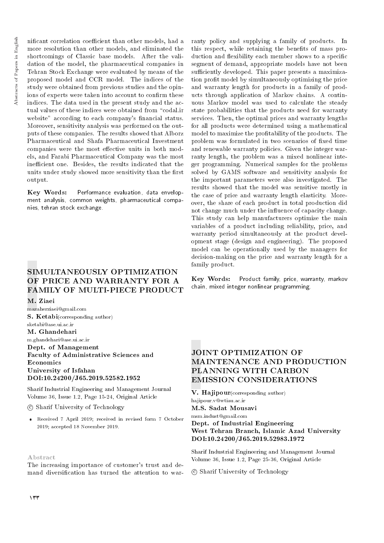nificant correlation coefficient than other models, had a more resolution than other models, and eliminated the shortcomings of Classic base models. After the validation of the model, the pharmaceutical companies in Tehran Stock Exchange were evaluated by means of the proposed model and CCR model. The indices of the study were obtained from previous studies and the opinions of experts were taken into account to confirm these indices. The data used in the present study and the actual values of these indices were obtained from "codal.ir website" according to each company's financial status. Moreover, sensitivity analysis was performed on the outputs of these companies. The results showed that Alborz Pharmaceutical and Shafa Pharmaceutical Investment companies were the most effective units in both models, and Farabi Pharmaceutical Company was the most inefficient one. Besides, the results indicated that the units under study showed more sensitivity than the first output.

Key Words: Performance evaluation, data envelopment analysis, common weights, pharmaceutical companies, tehran stock exchange.

# SIMULTANEOUSLY OPTIMIZATION OF PRICE AND WARRANTY FOR A FAMILY OF MULTI-PIECE PRODUCT

M. Ziaei

mazaherziaei@gmail.com S. Ketabi(corresponding author) sketabi@ase.ui.ac.ir M. Ghandehari m.ghandehari@ase.ui.ac.ir Dept. of Management Faculty of Administrative Sciences and Economics University of Isfahan DOI:10.24200/J65.2019.52582.1952

Sharif Industrial Engineering and Management Journal Volume 36, Issue 1.2, Page 15-24, Original Article

c Sharif University of Technology

 Received 7 April 2019; received in revised form 7 October 2019; accepted 18 November 2019.

#### Abstract

The increasing importance of customer's trust and demand diversification has turned the attention to warranty policy and supplying a family of products. In this respect, while retaining the benefits of mass production and flexibility each member shows to a specific segment of demand, appropriate models have not been sufficiently developed. This paper presents a maximization prot model by simultaneously optimizing the price and warranty length for products in a family of products through application of Markov chains. A continuous Markov model was used to calculate the steady state probabilities that the products need for warranty services. Then, the optimal prices and warranty lengths for all products were determined using a mathematical model to maximize the profitability of the products. The problem was formulated in two scenarios of fixed time and renewable warranty policies. Given the integer warranty length, the problem was a mixed nonlinear integer programming. Numerical samples for the problems solved by GAMS software and sensitivity analysis for the important parameters were also investigated. The results showed that the model was sensitive mostly in the case of price and warranty length elasticity. Moreover, the share of each product in total production did not change much under the influence of capacity change. This study can help manufacturers optimize the main variables of a product including reliability, price, and warranty period simultaneously at the product development stage (design and engineering). The proposed model can be operationally used by the managers for decision-making on the price and warranty length for a family product.

Key Words: Product family, price, warranty, markov chain, mixed integer nonlinear programming.

# JOINT OPTIMIZATION OF MAINTENANCE AND PRODUCTION PLANNING WITH CARBON EMISSION CONSIDERATIONS

V. Haiipour(corresponding author)

hajipour.v@wtiau.ac.ir M.S. Sadat Mousavi

msm.indust@gmail.com

Dept. of Industrial Engineering West Tehran Branch, Islamic Azad University DOI:10.24200/J65.2019.52983.1972

Sharif Industrial Engineering and Management Journal Volume 36, Issue 1.2, Page 25-36, Original Article

c Sharif University of Technology